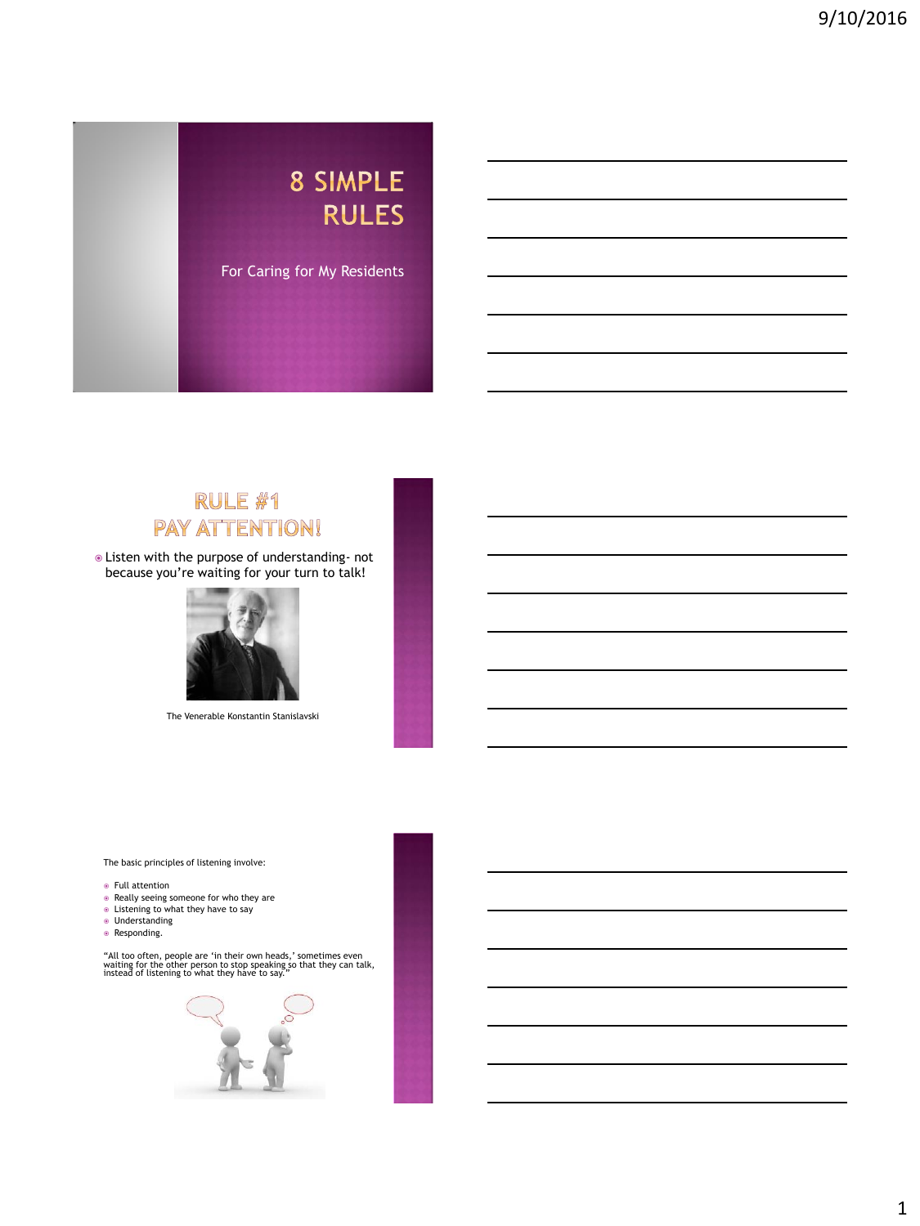# 8 SIMPLE **RULES** For Caring for My Residents

# RULE #1 **PAY ATTENTION!**

 Listen with the purpose of understanding- not because you're waiting for your turn to talk!



The Venerable Konstantin Stanislavski

The basic principles of listening involve:

- Full attention
- Really seeing someone for who they are
- Listening to what they have to say
- Understanding
- Responding.

"All too often, people are 'in their own heads,' sometimes even waiting for the other person to stop speaking so that they can talk, instead of listening to what they have to say."

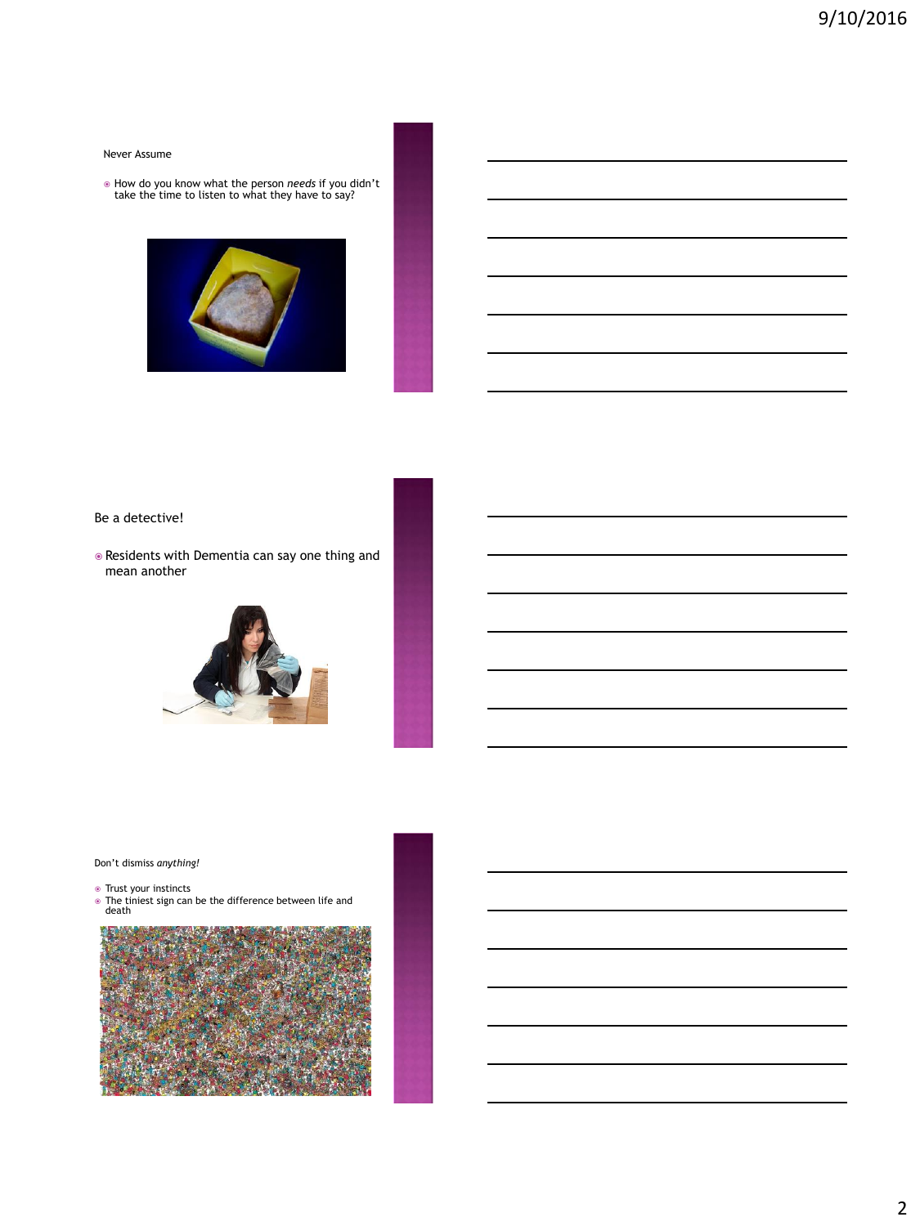#### Never Assume

How do you know what the person *needs* if you didn't take the time to listen to what they have to say?



#### Be a detective!

 Residents with Dementia can say one thing and mean another



#### Don't dismiss *anything!*

- 
- Trust your instincts The tiniest sign can be the difference between life and death

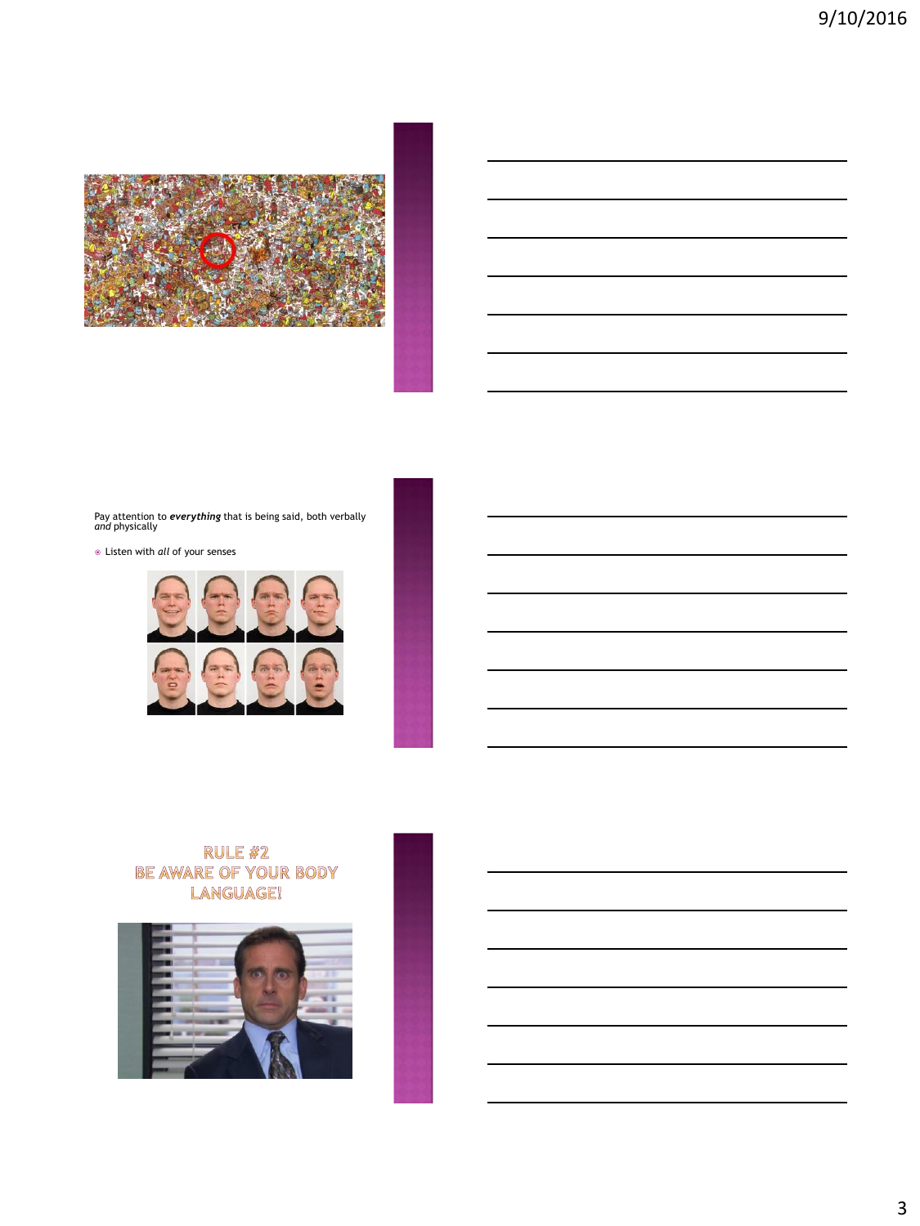

Pay attention to *everything* that is being said, both verbally *and* physically

Listen with *all* of your senses



# RULE #2 BE AWARE OF YOUR BODY<br>LANGUAGE!

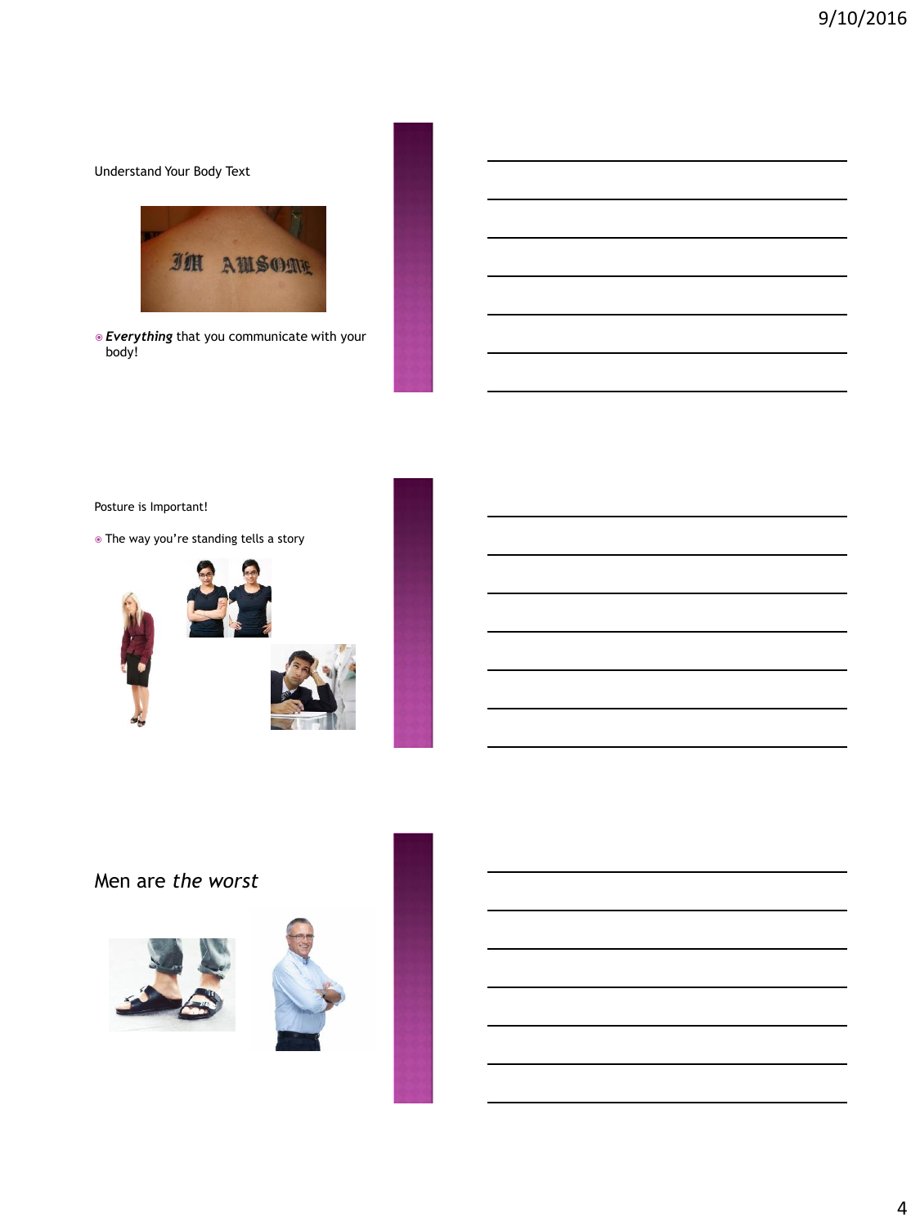Understand Your Body Text



 *Everything* that you communicate with your body!

Posture is Important!

The way you're standing tells a story



Men are *the worst*



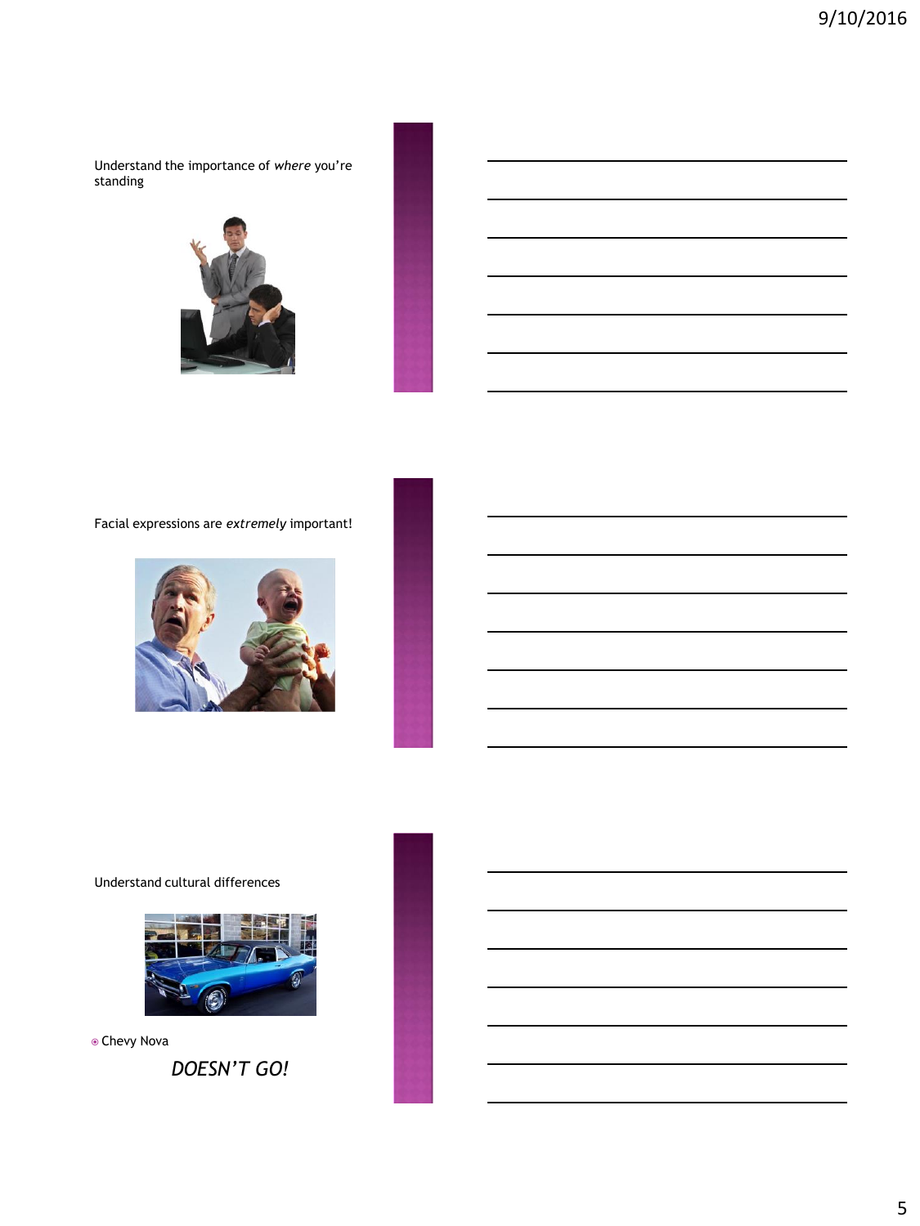Understand the importance of *where* you're standing



#### Facial expressions are *extremely* important!



#### Understand cultural differences



Chevy Nova

*DOESN'T GO!*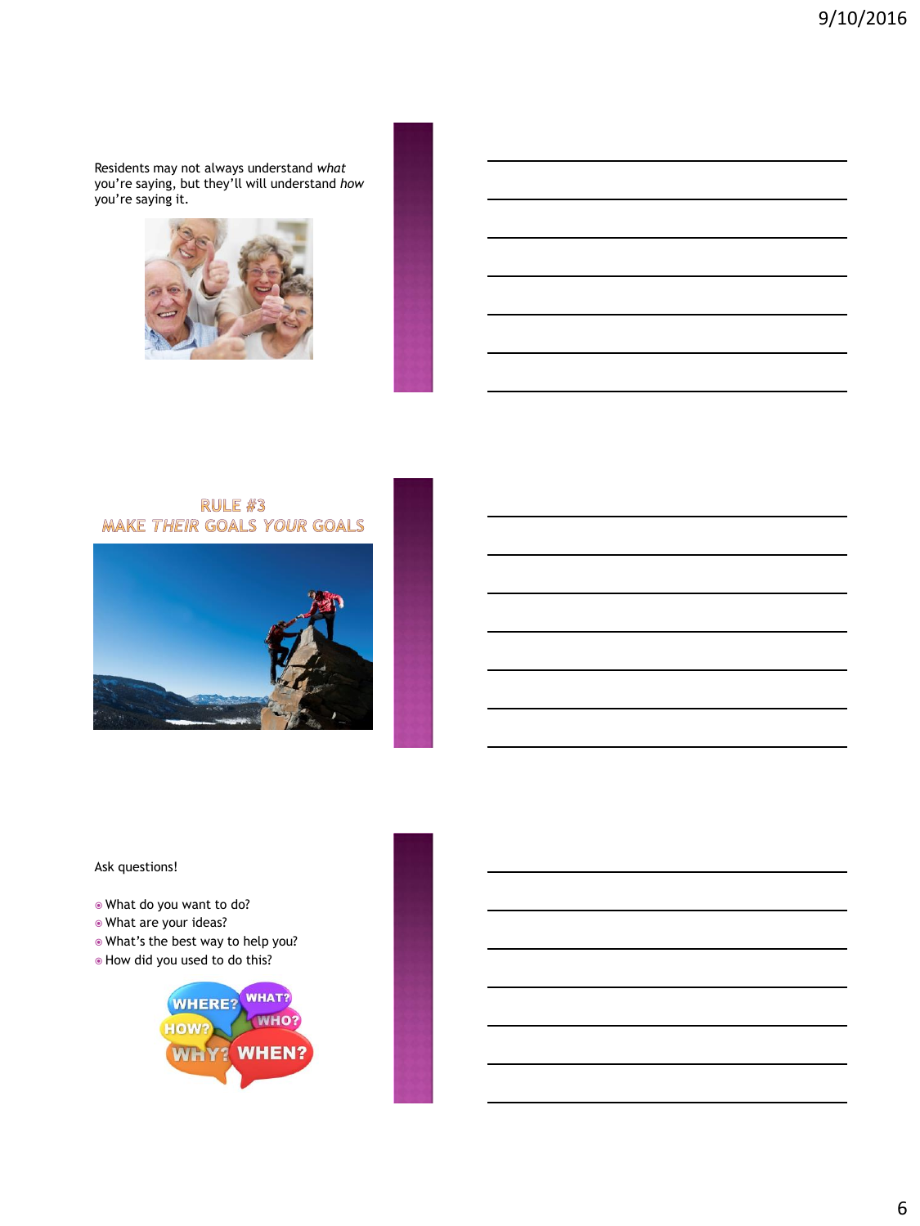Residents may not always understand *what* you're saying, but they'll will understand *how* you're saying it.



# RULE #3 **MAKE THEIR GOALS YOUR GOALS**



#### Ask questions!

- What do you want to do?
- What are your ideas?
- What's the best way to help you?
- How did you used to do this?

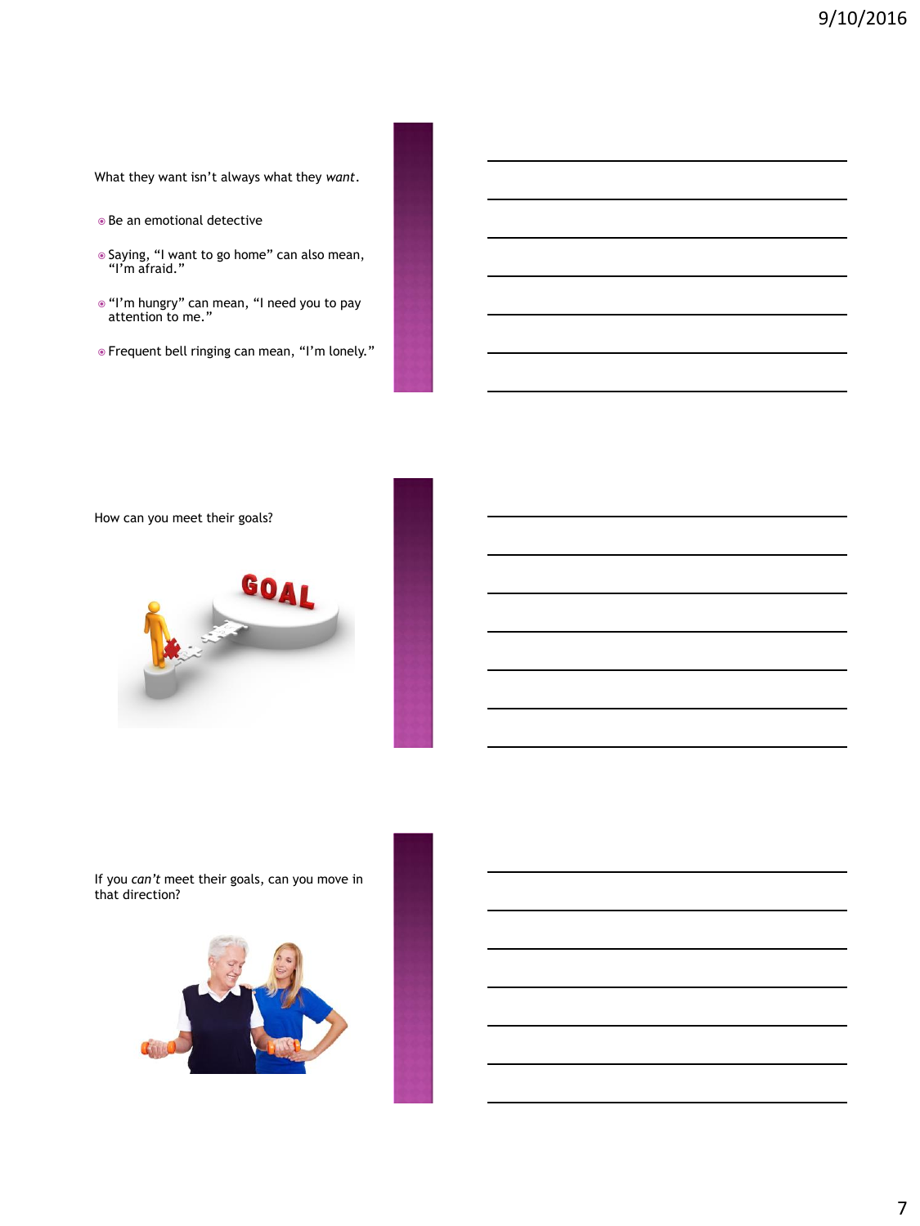What they want isn't always what they *want*.

- Be an emotional detective
- Saying, "I want to go home" can also mean, "I'm afraid."
- $\bullet$  "I'm hungry" can mean, "I need you to pay attention to me."
- Frequent bell ringing can mean, "I'm lonely."

How can you meet their goals?



If you *can't* meet their goals, can you move in that direction?

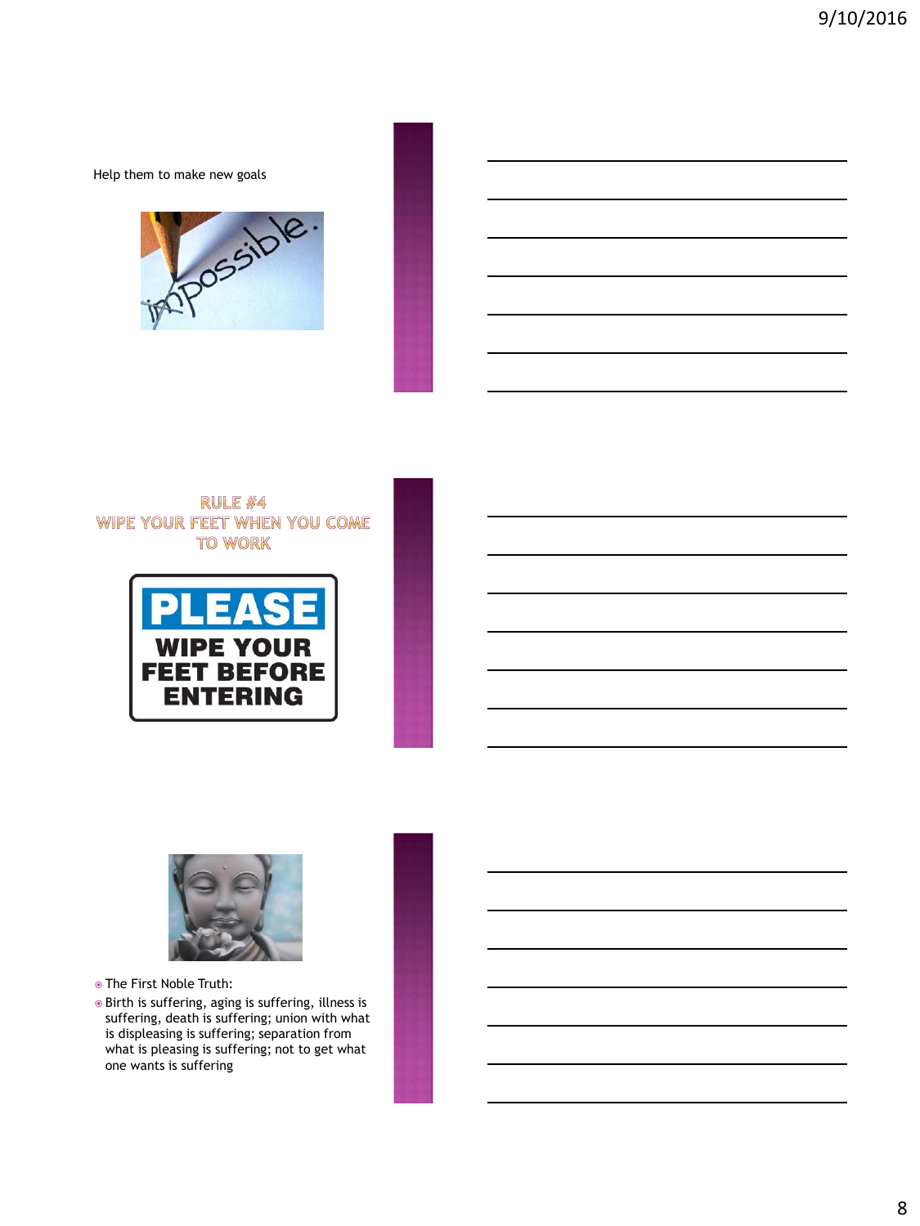Help them to make new goals



### **RULE #4** WIPE YOUR FEET WHEN YOU COME **TO WORK**





The First Noble Truth:

 Birth is suffering, aging is suffering, illness is suffering, death is suffering; union with what is displeasing is suffering; separation from what is pleasing is suffering; not to get what one wants is suffering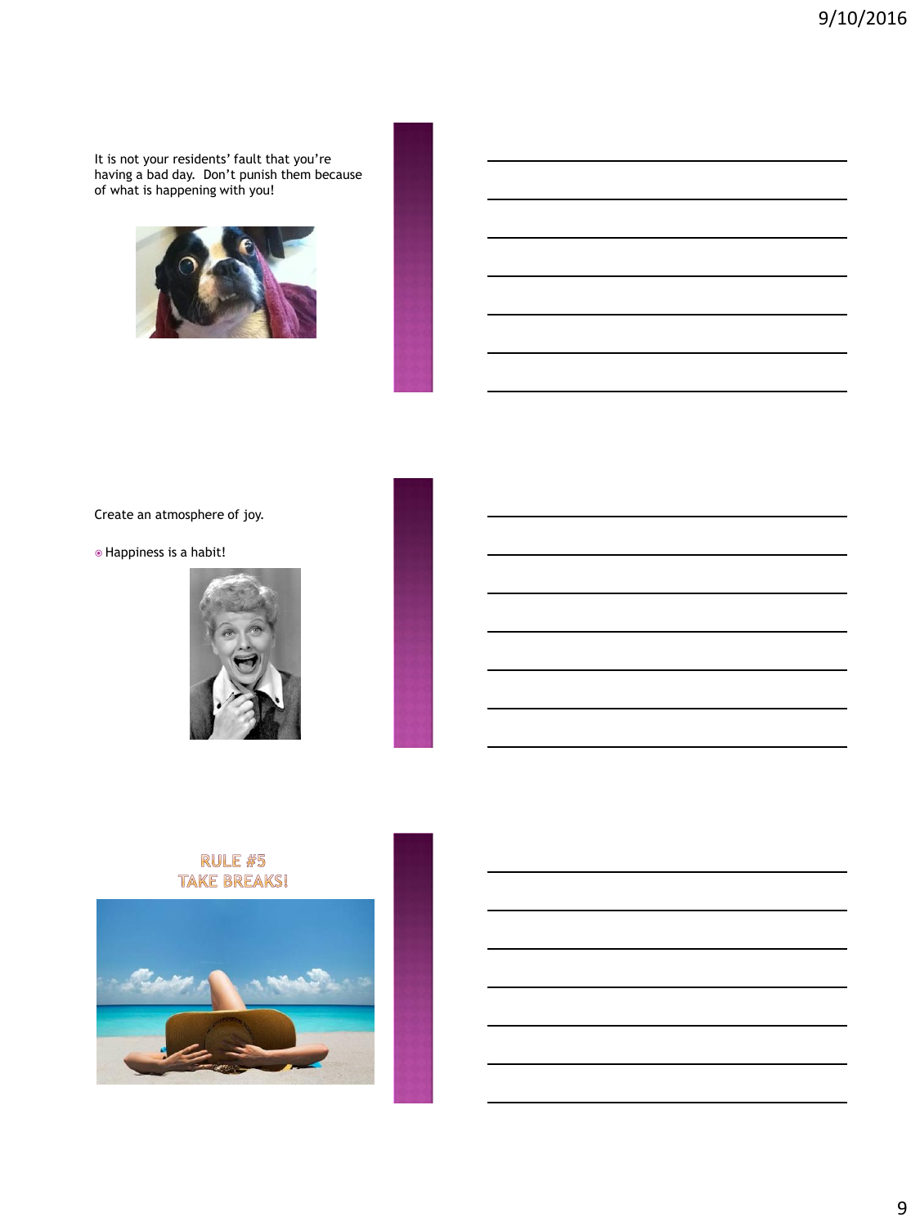It is not your residents' fault that you're having a bad day. Don't punish them because of what is happening with you!



Create an atmosphere of joy.

Happiness is a habit!



## **RULE #5 TAKE BREAKS!**

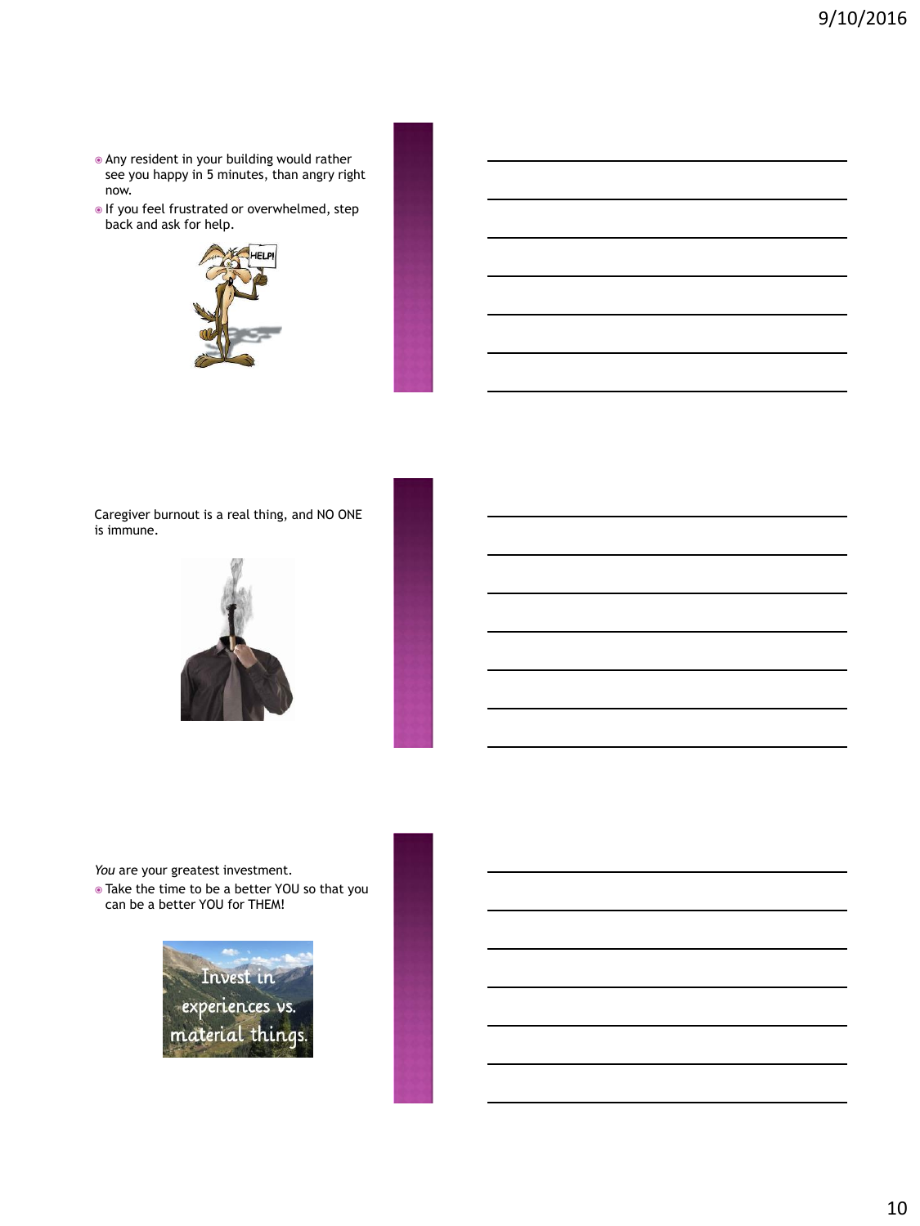- Any resident in your building would rather see you happy in 5 minutes, than angry right now.
- $\bullet$  If you feel frustrated or overwhelmed, step back and ask for help.



Caregiver burnout is a real thing, and NO ONE is immune.



*You* are your greatest investment.

 Take the time to be a better YOU so that you can be a better YOU for THEM!

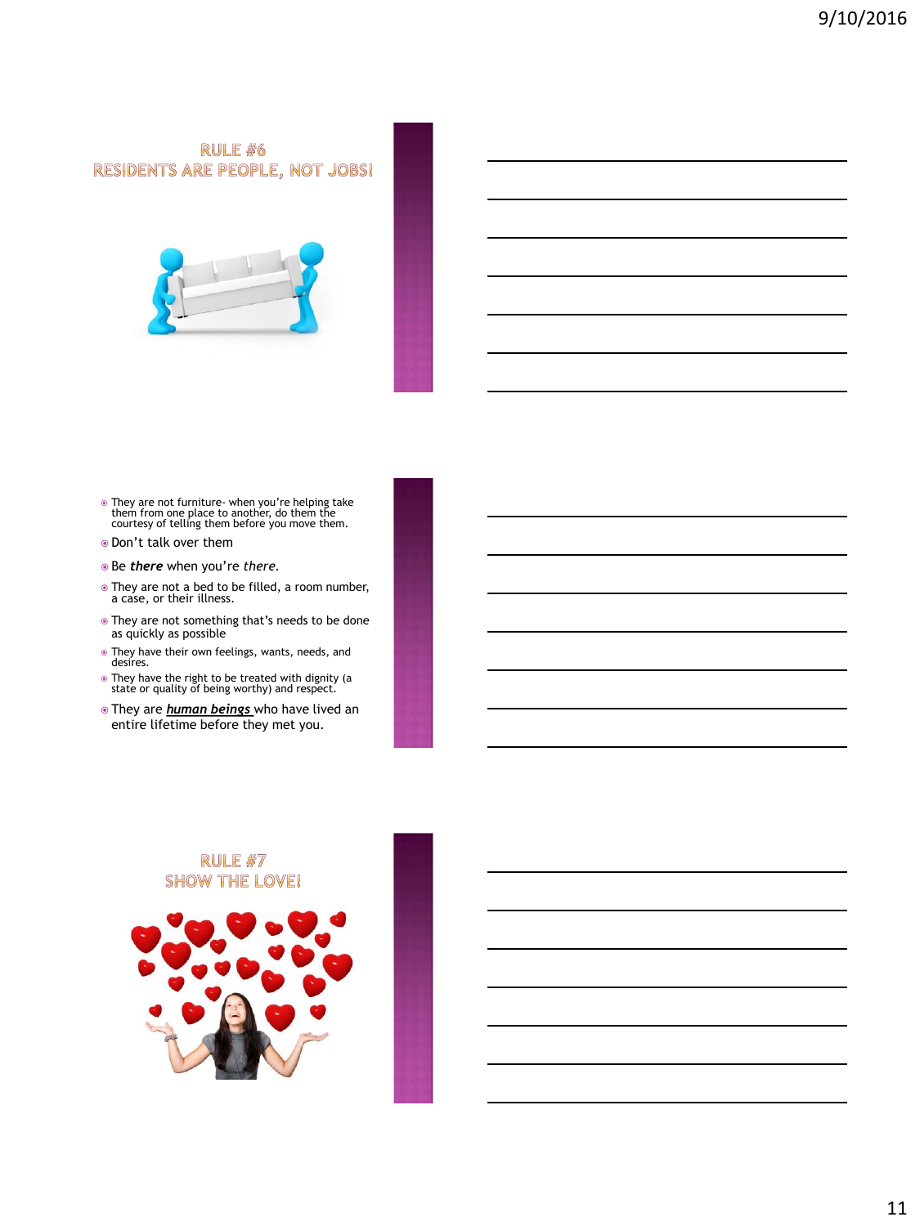RULE #6 RESIDENTS ARE PEOPLE, NOT JOBS!



- They are not furniture- when you're helping take them from one place to another, do them the courtesy of telling them before you move them.
- Don't talk over them
- Be *there* when you're *there.*
- They are not a bed to be filled, a room number, a case, or their illness.
- They are not something that's needs to be done as quickly as possible
- They have their own feelings, wants, needs, and desires.
- They have the right to be treated with dignity (a state or quality of being worthy) and respect.
- They are *human beings* who have lived an entire lifetime before they met you.

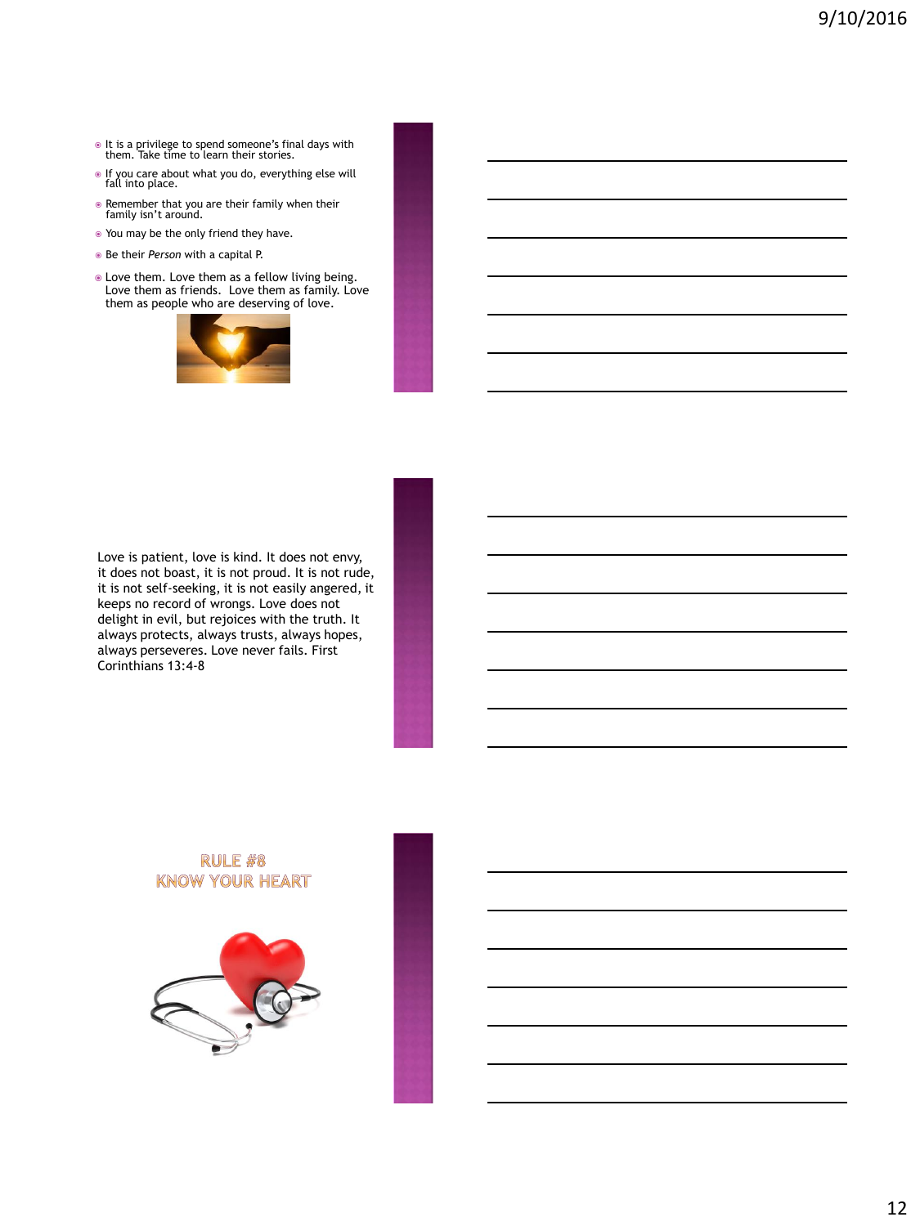- It is a privilege to spend someone's final days with them. Take time to learn their stories.
- If you care about what you do, everything else will fall into place.
- Remember that you are their family when their family isn't around.
- You may be the only friend they have.
- Be their *Person* with a capital P.
- Love them. Love them as a fellow living being. Love them as friends. Love them as family. Love them as people who are deserving of love.



Love is patient, love is kind. It does not envy, it does not boast, it is not proud. It is not rude, it is not self-seeking, it is not easily angered, it keeps no record of wrongs. Love does not delight in evil, but rejoices with the truth. It always protects, always trusts, always hopes, always perseveres. Love never fails. First Corinthians 13:4-8

## **RULE #8 KNOW YOUR HEART**

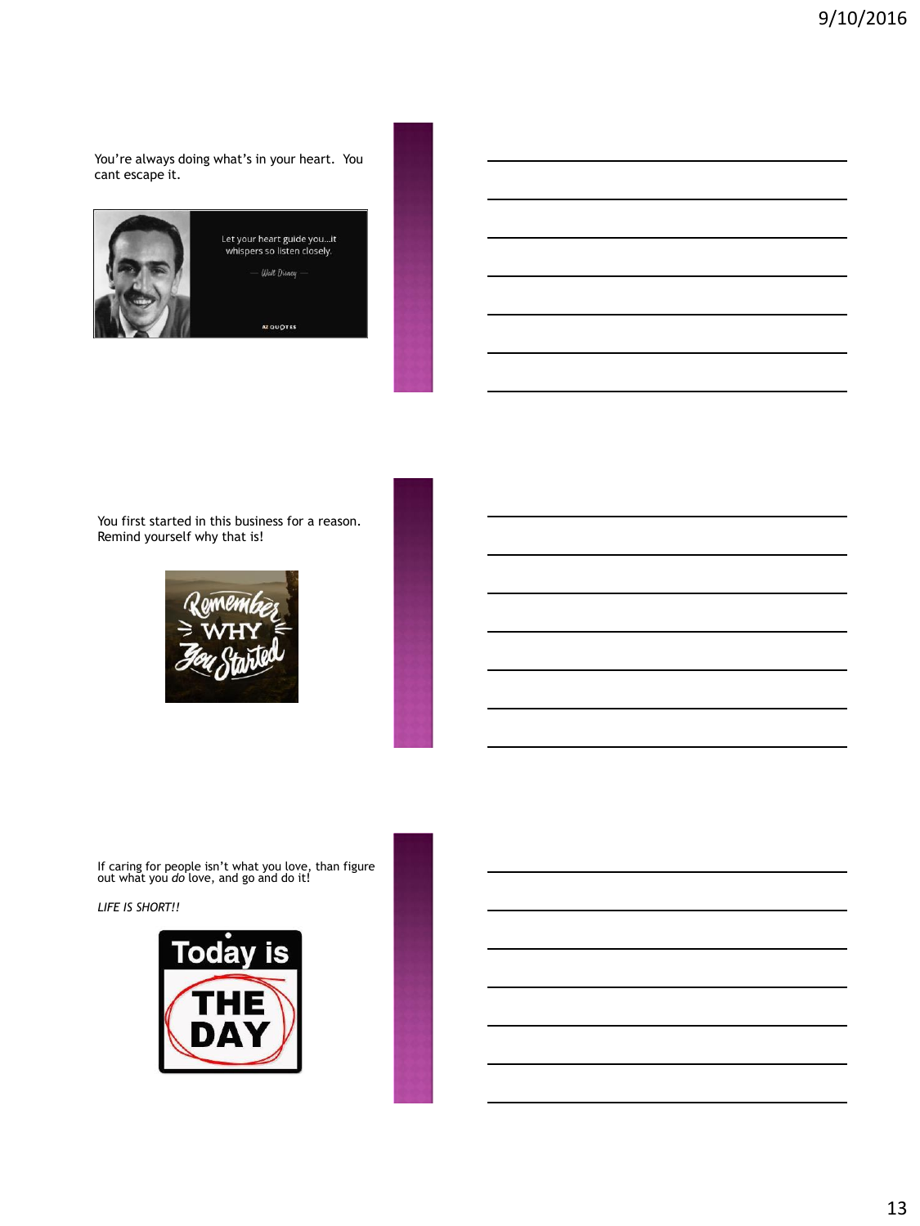You're always doing what's in your heart. You cant escape it.



You first started in this business for a reason. Remind yourself why that is!



If caring for people isn't what you love, than figure out what you *do* love, and go and do it!

*LIFE IS SHORT!!*